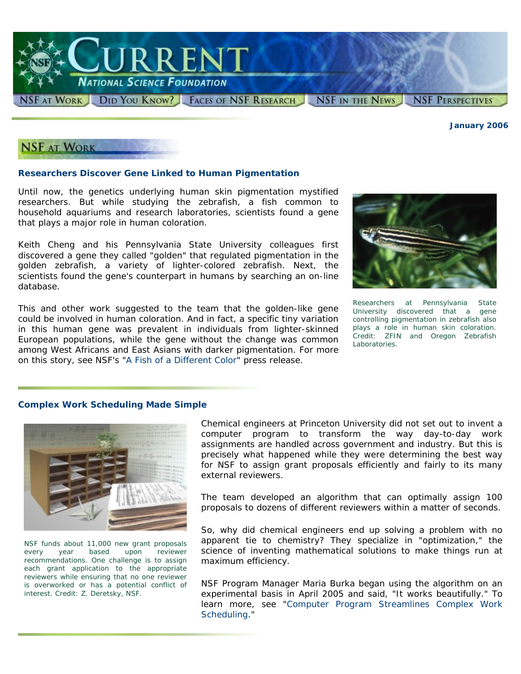

*January 2006*

# **NSF AT WORK**

## **Researchers Discover Gene Linked to Human Pigmentation**

Until now, the genetics underlying human skin pigmentation mystified researchers. But while studying the zebrafish, a fish common to household aquariums and research laboratories, scientists found a gene that plays a major role in human coloration.

Keith Cheng and his Pennsylvania State University colleagues first discovered a gene they called "golden" that regulated pigmentation in the golden zebrafish, a variety of lighter-colored zebrafish. Next, the scientists found the gene's counterpart in humans by searching an on-line database.

This and other work suggested to the team that the golden-like gene could be involved in human coloration. And in fact, a specific tiny variation in this human gene was prevalent in individuals from lighter-skinned European populations, while the gene without the change was common among West Africans and East Asians with darker pigmentation. For more on this story, see NSF's "A Fish of [a Different](http://nsf.gov/news/news_summ.jsp?cntn_id=105661&org=NSF&from=news) Color" press release.



*Researchers at Pennsylvania State University discovered that a gene controlling pigmentation in zebrafish also plays a role in human skin coloration. Credit: ZFIN and Oregon Zebrafish Laboratories.* 

## **Complex Work Scheduling Made Simple**



*NSF funds about 11,000 new grant proposals every year based upon reviewer recommendations. One challenge is to assign each grant application to the appropriate reviewers while ensuring that no one reviewer is overworked or has a potential conflict of interest. Credit: Z. Deretsky, NSF.* 

Chemical engineers at Princeton University did not set out to invent a computer program to transform the way day-to-day work assignments are handled across government and industry. But this is precisely what happened while they were determining the best way for NSF to assign grant proposals efficiently and fairly to its many external reviewers.

The team developed an algorithm that can optimally assign 100 proposals to dozens of different reviewers within a matter of seconds.

So, why did chemical engineers end up solving a problem with no apparent tie to chemistry? They specialize in "optimization," the science of inventing mathematical solutions to make things run at maximum efficiency.

NSF Program Manager Maria Burka began using the algorithm on an experimental basis in April 2005 and said, "It works beautifully." To learn more, see ["Computer Program Streamlines Complex Work](http://www.nsf.gov/discoveries/disc_summ.jsp?cntn_id=104642&org=NSF) [Scheduling](http://www.nsf.gov/discoveries/disc_summ.jsp?cntn_id=104642&org=NSF)."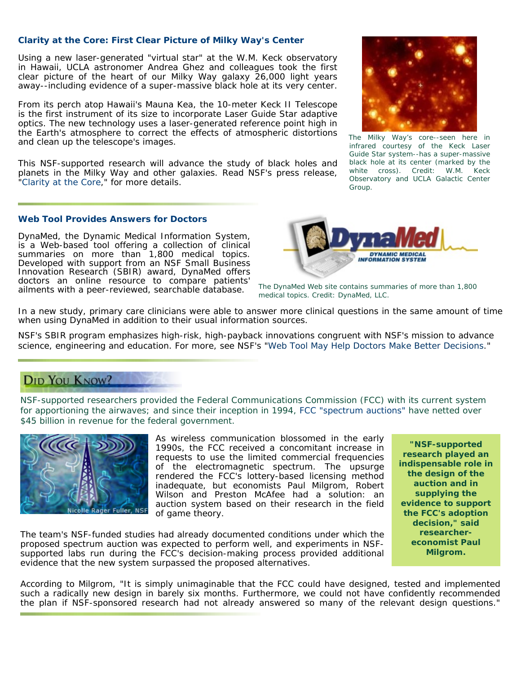## **Clarity at the Core: First Clear Picture of Milky Way's Center**

Using a new laser-generated "virtual star" at the W.M. Keck observatory in Hawaii, UCLA astronomer Andrea Ghez and colleagues took the first clear picture of the heart of our Milky Way galaxy 26,000 light years away--including evidence of a super-massive black hole at its very center.

From its perch atop Hawaii's Mauna Kea, the 10-meter Keck II Telescope is the first instrument of its size to incorporate Laser Guide Star adaptive optics. The new technology uses a laser-generated reference point high in the Earth's atmosphere to correct the effects of atmospheric distortions and clean up the telescope's images.

This NSF-supported research will advance the study of black holes and planets in the Milky Way and other galaxies. Read NSF's press release, "[Clarity at the Core,](http://www.nsf.gov/news/news_summ.jsp?cntn_id=105676)" for more details.

# **Web Tool Provides Answers for Doctors**

DynaMed, the Dynamic Medical Information System, is a Web-based tool offering a collection of clinical summaries on more than 1,800 medical topics. Developed with support from an NSF Small Business Innovation Research (SBIR) award, DynaMed offers doctors an online resource to compare patients' ailments with a peer-reviewed, searchable database. *The DynaMed Web site contains summaries of more than 1,800*



*The Milky Way's core--seen here in infrared courtesy of the Keck Laser Guide Star system--has a super-massive black hole at its center (marked by the white cross). Credit: W.M. Keck Observatory and UCLA Galactic Center Group.*



*medical topics. Credit: DynaMed, LLC.*

In a new study, primary care clinicians were able to answer more clinical questions in the same amount of time when using DynaMed in addition to their usual information sources.

NSF's SBIR program emphasizes high-risk, high-payback innovations congruent with NSF's mission to advance science, engineering and education. For more, see NSF's ["Web Tool May Help Doctors Make Better Decisions.](http://www.nsf.gov/news/news_summ.jsp?cntn_id=105636)"

# DID YOU KNOW?

*NSF-supported researchers provided the Federal Communications Commission (FCC) with its current system for apportioning the airwaves; and since their inception in 1994, [FCC "spectrum auctions"](http://wireless.fcc.gov/auctions/default.htm?job=about_auctions) have netted over \$45 billion in revenue for the federal government.* 



As wireless communication blossomed in the early 1990s, the FCC received a concomitant increase in requests to use the limited commercial frequencies of the electromagnetic spectrum. The upsurge rendered the FCC's lottery-based licensing method inadequate, but economists Paul Milgrom, Robert Wilson and Preston McAfee had a solution: an auction system based on their research in the field of game theory.

The team's NSF-funded studies had already documented conditions under which the proposed spectrum auction was expected to perform well, and experiments in NSFsupported labs run during the FCC's decision-making process provided additional evidence that the new system surpassed the proposed alternatives.

*"NSF-supported research played an indispensable role in the design of the auction and in supplying the evidence to support the FCC's adoption decision," said researchereconomist Paul Milgrom.*

According to Milgrom, "It is simply unimaginable that the FCC could have designed, tested and implemented such a radically new design in barely six months. Furthermore, we could not have confidently recommended the plan if NSF-sponsored research had not already answered so many of the relevant design questions."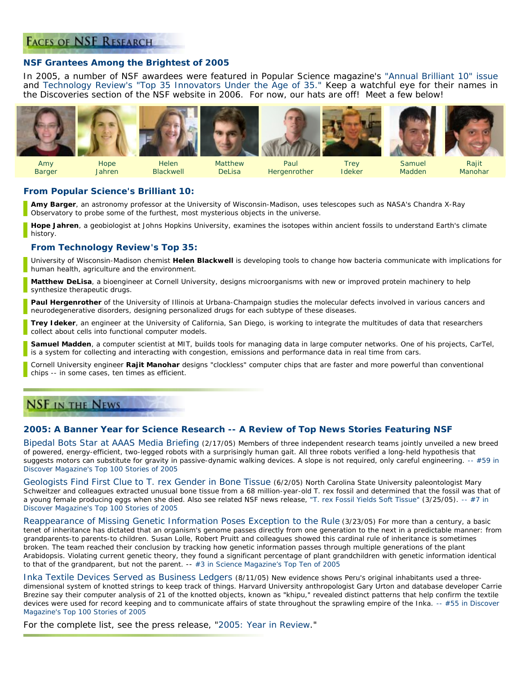# **FACES OF NSF RESEARCH**

#### *NSF Grantees Among the Brightest of 2005*

In 2005, a number of NSF awardees were featured in *Popular Science* magazine's ["Annual Brilliant 10" issue](http://www.popsci.com/popsci/science/09a7dd9a0cc36010vgnvcm1000004eecbccdrcrd.html) and *Technology Review's* ["Top 35 Innovators Under the Age of 35](http://www.technologyreview.com/articles/05/10/issue/feature_tr35.asp)." Keep a watchful eye for their names in the Discoveries section of the NSF website in 2006. For now, our hats are off! Meet a few below!



*Amy Barger* 

*Helen Blackwell* 

*Matthew DeLisa* 

*Paul Hergenrother* 

*Trey Ideker* 



*Samuel Madden* 

*Rajit Manohar* 

# *From* **Popular Science's** *Brilliant 10:*

*Hope Jahren*

**Amy Barger**, an astronomy professor at the University of Wisconsin-Madison, uses telescopes such as NASA's Chandra X-Ray Observatory to probe some of the furthest, most mysterious objects in the universe.

**Hope Jahren**, a geobiologist at Johns Hopkins University, examines the isotopes within ancient fossils to understand Earth's climate history.

## *From* **Technology Review's** *Top 35:*

University of Wisconsin-Madison chemist **Helen Blackwell** is developing tools to change how bacteria communicate with implications for human health, agriculture and the environment.

**Matthew DeLisa**, a bioengineer at Cornell University, designs microorganisms with new or improved protein machinery to help synthesize therapeutic drugs.

**Paul Hergenrother** of the University of Illinois at Urbana-Champaign studies the molecular defects involved in various cancers and neurodegenerative disorders, designing personalized drugs for each subtype of these diseases.

**Trey Ideker**, an engineer at the University of California, San Diego, is working to integrate the multitudes of data that researchers collect about cells into functional computer models.

**Samuel Madden**, a computer scientist at MIT, builds tools for managing data in large computer networks. One of his projects, CarTel, is a system for collecting and interacting with congestion, emissions and performance data in real time from cars.

Cornell University engineer **Rajit Manohar** designs "clockless" computer chips that are faster and more powerful than conventional chips -- in some cases, ten times as efficient.

# **NSF IN THE NEWS**

## **2005: A Banner Year for Science Research -- A Review of Top News Stories Featuring NSF**

[Bipedal Bots Star at AAAS Media Briefing](http://www.nsf.gov/news/news_summ.jsp?cntn_id=102829) *(2/17/05)* Members of three independent research teams jointly unveiled a new breed of powered, energy-efficient, two-legged robots with a surprisingly human gait. All three robots verified a long-held hypothesis that suggests motors can substitute for gravity in passive-dynamic walking devices. A slope is not required, only careful engineering. *-- #59 in*  Discover *Magazine's Top 100 Stories of 2005* 

[Geologists Find First Clue to](http://www.nsf.gov/news/news_summ.jsp?cntn_id=104184) *T. rex* Gender in Bone Tissue *(6/2/05)* North Carolina State University paleontologist Mary Schweitzer and colleagues extracted unusual bone tissue from a 68 million-year-old *T. rex* fossil and determined that the fossil was that of a young female producing eggs when she died. Also see related NSF news release, "*T. rex* [Fossil Yields Soft Tissue"](http://www.nsf.gov/news/news_summ.jsp?cntn_id=103152) *(3/25/05)*. *-- #7 in* Discover *Magazine's Top 100 Stories of 2005* 

[Reappearance of Missing Genetic Information Poses Exception to the Rule](http://www.nsf.gov/news/news_summ.jsp?cntn_id=103143) *(3/23/05)* For more than a century, a basic tenet of inheritance has dictated that an organism's genome passes directly from one generation to the next in a predictable manner: from grandparents-to parents-to children. Susan Lolle, Robert Pruitt and colleagues showed this cardinal rule of inheritance is sometimes broken. The team reached their conclusion by tracking how genetic information passes through multiple generations of the plant *Arabidopsis*. Violating current genetic theory, they found a significant percentage of plant grandchildren with genetic information identical to that of the grandparent, but not the parent. -- *#3 in* Science *Magazine's Top Ten of 2005* 

[Inka Textile Devices Served as Business Ledgers](http://www.nsf.gov/news/news_summ.jsp?cntn_id=104350) *(8/11/05)* New evidence shows Peru's original inhabitants used a threedimensional system of knotted strings to keep track of things. Harvard University anthropologist Gary Urton and database developer Carrie Brezine say their computer analysis of 21 of the knotted objects, known as "khipu," revealed distinct patterns that help confirm the textile devices were used for record keeping and to communicate affairs of state throughout the sprawling empire of the Inka. *-- #55 in* Discover *Magazine's Top 100 Stories of 2005* 

For the complete list, see the press release, "[2005: Year in Review](http://www.nsf.gov/news/news_summ.jsp?cntn_id=105693&org=NSF&from=news)."